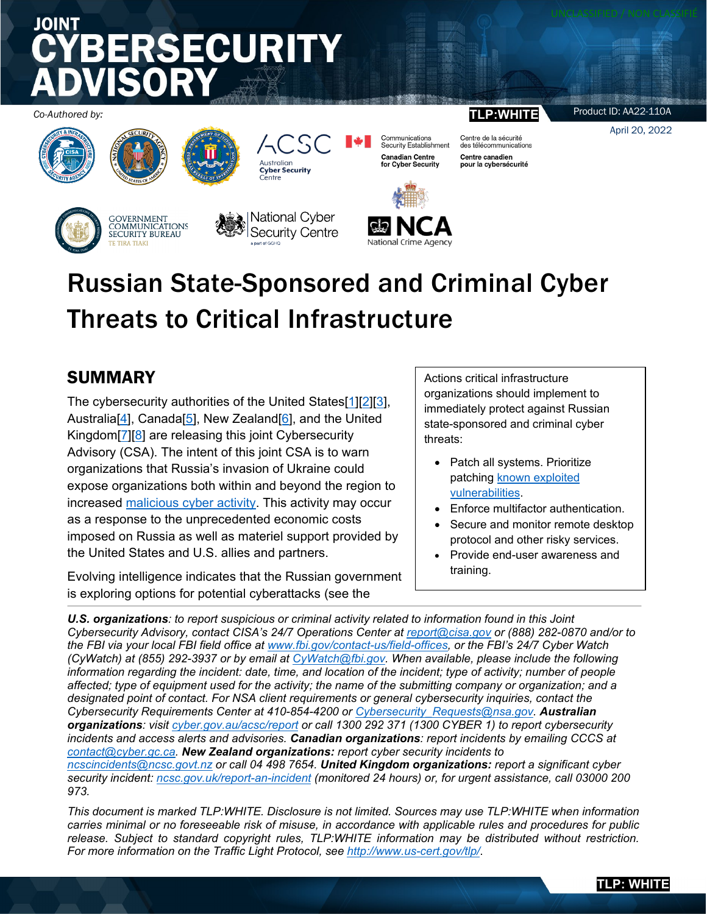# JOINT **RSECURITY**

*Co-Authored by:* **TLP:WHITE**





GOVERNMENT COMMUNICATIONS<br>SECURITY BUREAU



|National Cyber Security Centre

**Australian** 

**Cyber Security**<br>Centre

 $\varsigma$ 



Communications<br>Security Establishment

**Canadian Centre** 

for Cyber Security

Centre de la sécurité des télécommunications Centre canadien pour la cybersécurité

Product ID: AA22-110A

April 20, 2022

## Russian State-Sponsored and Criminal Cyber Threats to Critical Infrastructur[e](http://www.addthis.com/bookmark.php?url=https%3A%2F%2Fus-cert.cisa.gov%2Fncas%2Falerts%2Faa22-011a)

## SUMMARY

The cybersecurity authorities of the United States[\[1\]](https://www.cisa.gov/)[\[2\]](https://www.fbi.gov/investigate/cyber)[\[3\]](https://www.nsa.gov/Cybersecurity/), Australia<sup>[\[4\]](https://www.cyber.gov.au/)</sup>, Canada<sup>[\[5\]](https://cyber.gc.ca/en/)</sup>, New Zealand<sup>[\[6\]](https://www.ncsc.govt.nz/)</sup>, and the United Kingdom[\[7\]](https://www.ncsc.gov.uk/)[\[8\]](https://www.nationalcrimeagency.gov.uk/what-we-do/crime-threats/cyber-crime) are releasing this joint Cybersecurity Advisory (CSA). The intent of this joint CSA is to warn organizations that Russia's invasion of Ukraine could expose organizations both within and beyond the region to increased [malicious cyber activity.](https://www.cisa.gov/uscert/russia) This activity may occur as a response to the unprecedented economic costs imposed on Russia as well as materiel support provided by the United States and U.S. allies and partners.

Evolving intelligence indicates that the Russian government is exploring options for potential cyberattacks (see the

Actions critical infrastructure organizations should implement to immediately protect against Russian state-sponsored and criminal cyber threats:

- Patch all systems. Prioritize patching [known exploited](https://www.cisa.gov/known-exploited-vulnerabilities-catalog)  [vulnerabilities.](https://www.cisa.gov/known-exploited-vulnerabilities-catalog)
- Enforce multifactor authentication.
- Secure and monitor remote desktop protocol and other risky services.
- Provide end-user awareness and training.

*U.S. organizations: to report suspicious or criminal activity related to information found in this Joint Cybersecurity Advisory, contact CISA's 24/7 Operations Center at [report@cisa.gov](mailto:report@cisa.gov) or (888) 282-0870 and/or to the FBI via your local FBI field office at [www.fbi.gov/contact-us/field-offices,](http://www.fbi.gov/contact-us/field-offices) or the FBI's 24/7 Cyber Watch (CyWatch) at (855) 292-3937 or by email at [CyWatch@fbi.gov.](mailto:CyWatch@fbi.gov) When available, please include the following information regarding the incident: date, time, and location of the incident; type of activity; number of people affected; type of equipment used for the activity; the name of the submitting company or organization; and a designated point of contact. For NSA client requirements or general cybersecurity inquiries, contact the Cybersecurity Requirements Center at 410-854-4200 or [Cybersecurity\\_Requests@nsa.gov.](mailto:Cybersecurity_Requests@nsa.gov) Australian organizations: visit [cyber.gov.au/acsc/report](https://www.cyber.gov.au/acsc/report) or call 1300 292 371 (1300 CYBER 1) to report cybersecurity incidents and access alerts and advisories. Canadian organizations: report incidents by emailing CCCS at [contact@cyber.gc.ca.](mailto:contact@cyber.gc.ca) New Zealand organizations: report cyber security incidents to [ncscincidents@ncsc.govt.nz](mailto:ncscincidents@ncsc.govt.nz) or call 04 498 7654. United Kingdom organizations: report a significant cyber security incident: [ncsc.gov.uk/report-an-incident](https://www.ncsc.gov.uk/section/about-this-website/contact-us) (monitored 24 hours) or, for urgent assistance, call 03000 200 973.*

*This document is marked TLP:WHITE. Disclosure is not limited. Sources may use TLP:WHITE when information carries minimal or no foreseeable risk of misuse, in accordance with applicable rules and procedures for public release. Subject to standard copyright rules, TLP:WHITE information may be distributed without restriction. For more information on the Traffic Light Protocol, see<http://www.us-cert.gov/tlp/>*.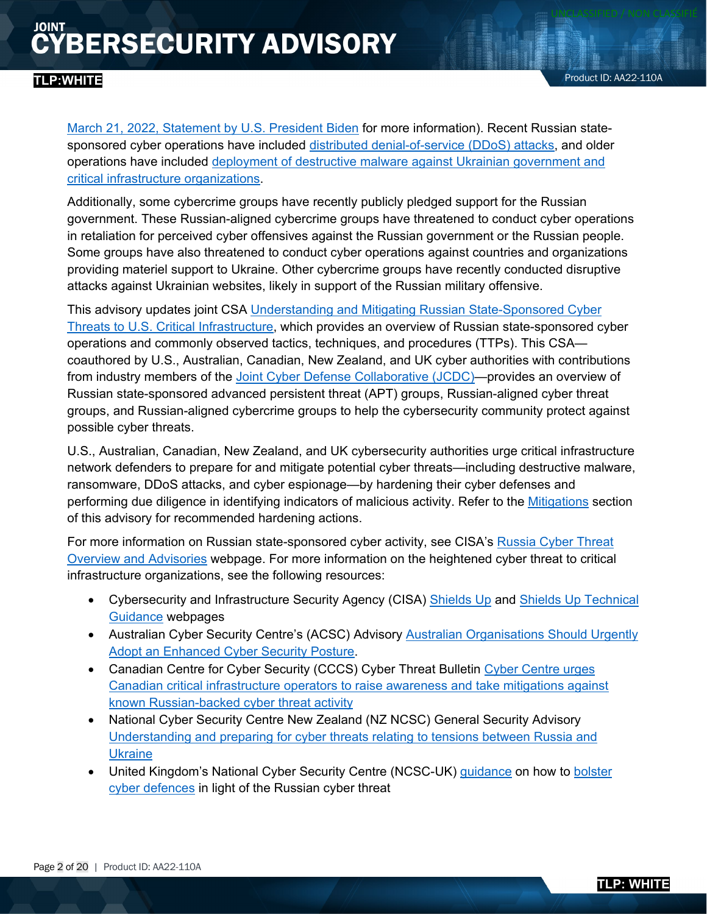#### **TLP:WHITE**

[March 21, 2022, Statement by U.S. President Biden](https://www.whitehouse.gov/briefing-room/statements-releases/2022/03/21/statement-by-president-biden-on-our-nations-cybersecurity/) for more information). Recent Russian statesponsored cyber operations have included [distributed denial-of-service \(DDoS\) attacks,](https://www.gov.uk/government/news/uk-assess-russian-involvement-in-cyber-attacks-on-ukraine) and older operations have included [deployment of destructive malware against Ukrainian government and](https://www.ncsc.gov.uk/news/russian-military-almost-certainly-responsible-destructive-2017-cyber-attack) [critical infrastructure organizations.](https://www.ncsc.gov.uk/news/russian-military-almost-certainly-responsible-destructive-2017-cyber-attack)

Additionally, some cybercrime groups have recently publicly pledged support for the Russian government. These Russian-aligned cybercrime groups have threatened to conduct cyber operations in retaliation for perceived cyber offensives against the Russian government or the Russian people. Some groups have also threatened to conduct cyber operations against countries and organizations providing materiel support to Ukraine. Other cybercrime groups have recently conducted disruptive attacks against Ukrainian websites, likely in support of the Russian military offensive.

This advisory updates joint CSA [Understanding and Mitigating Russian State-Sponsored Cyber](https://www.cisa.gov/uscert/ncas/alerts/aa22-011a)  [Threats to U.S. Critical Infrastructure,](https://www.cisa.gov/uscert/ncas/alerts/aa22-011a) which provides an overview of Russian state-sponsored cyber operations and commonly observed tactics, techniques, and procedures (TTPs). This CSA coauthored by U.S., Australian, Canadian, New Zealand, and UK cyber authorities with contributions from industry members of the [Joint Cyber Defense Collaborative \(JCDC\)—](https://www.cisa.gov/jcdc)provides an overview of Russian state-sponsored advanced persistent threat (APT) groups, Russian-aligned cyber threat groups, and Russian-aligned cybercrime groups to help the cybersecurity community protect against possible cyber threats.

U.S., Australian, Canadian, New Zealand, and UK cybersecurity authorities urge critical infrastructure network defenders to prepare for and mitigate potential cyber threats—including destructive malware, ransomware, DDoS attacks, and cyber espionage—by hardening their cyber defenses and performing due diligence in identifying indicators of malicious activity. Refer to the [Mitigations](#page-10-0) section of this advisory for recommended hardening actions.

For more information on Russian state-sponsored cyber activity, see CISA's [Russia Cyber Threat](https://www.cisa.gov/uscert/russia)  [Overview and Advisories](https://www.cisa.gov/uscert/russia) webpage. For more information on the heightened cyber threat to critical infrastructure organizations, see the following resources:

- Cybersecurity and Infrastructure Security Agency (CISA) [Shields Up](https://www.cisa.gov/shields-up) and [Shields Up Technical](https://www.cisa.gov/uscert/shields-technical-guidance)  [Guidance](https://www.cisa.gov/uscert/shields-technical-guidance) webpages
- Australian Cyber Security Centre's (ACSC) Advisory Australian Organisations Should Urgently [Adopt an Enhanced Cyber Security](https://www.cyber.gov.au/acsc/view-all-content/advisories/2022-02-australian-organisations-should-urgently-adopt-enhanced-cyber-security-posture) Posture.
- Canadian Centre for Cyber Security (CCCS) Cyber Threat Bulletin Cyber Centre urges [Canadian critical infrastructure operators to raise awareness and take mitigations against](https://cyber.gc.ca/en/guidance/cyber-threat-bulletin-cyber-centre-urges-canadian-critical-infrastructure-operators-raise)  [known Russian-backed cyber threat activity](https://cyber.gc.ca/en/guidance/cyber-threat-bulletin-cyber-centre-urges-canadian-critical-infrastructure-operators-raise)
- National Cyber Security Centre New Zealand (NZ NCSC) General Security Advisory [Understanding and preparing for cyber threats relating to tensions between Russia and](https://www.ncsc.govt.nz/newsroom/gsa-2022-2940/)  **[Ukraine](https://www.ncsc.govt.nz/newsroom/gsa-2022-2940/)**
- United Kingdom's National Cyber Security Centre (NCSC-UK) [guidance](https://www.ncsc.gov.uk/news/organisations-urged-to-bolster-defences) on how to bolster [cyber defences](https://www.ncsc.gov.uk/guidance/actions-to-take-when-the-cyber-threat-is-heightened) in light of the Russian cyber threat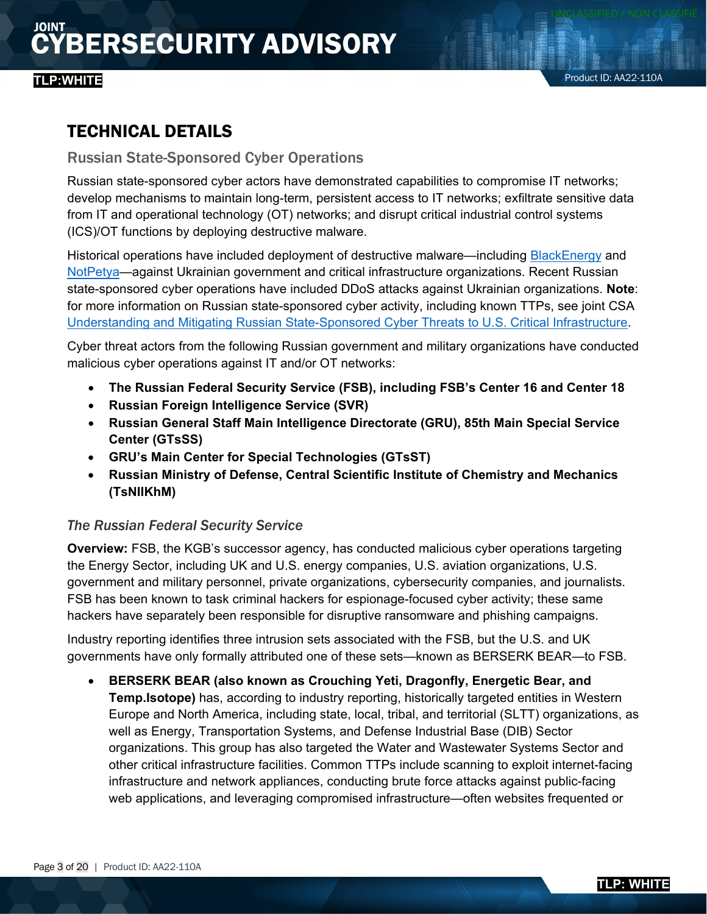### TECHNICAL DETAILS

<span id="page-2-0"></span>Russian State-Sponsored Cyber Operations

Russian state-sponsored cyber actors have demonstrated capabilities to compromise IT networks; develop mechanisms to maintain long-term, persistent access to IT networks; exfiltrate sensitive data from IT and operational technology (OT) networks; and disrupt critical industrial control systems (ICS)/OT functions by deploying destructive malware.

Historical operations have included deployment of destructive malware—including [BlackEnergy](https://www.cisa.gov/uscert/ics/alerts/IR-ALERT-H-16-056-01) an[d](https://www.gov.uk/government/news/uk-assess-russian-involvement-in-cyber-attacks-on-ukraine) [NotPetya—](https://www.ncsc.gov.uk/news/russian-military-almost-certainly-responsible-destructive-2017-cyber-attack)against Ukrainian government and critical infrastructure organizations. Recent Russian state-sponsored cyber operations have included DDoS attacks against Ukrainian organizations. **Note**: for more information on Russian state-sponsored cyber activity, including known TTPs, see joint CSA [Understanding and Mitigating Russian State-Sponsored Cyber Threats to U.S. Critical Infrastructure.](https://www.cisa.gov/uscert/ncas/alerts/aa22-011a)

Cyber threat actors from the following Russian government and military organizations have conducted malicious cyber operations against IT and/or OT networks:

- **The Russian Federal Security Service (FSB), including FSB's Center 16 and Center 18**
- **Russian Foreign Intelligence Service (SVR)**
- **Russian General Staff Main Intelligence Directorate (GRU), 85th Main Special Service Center (GTsSS)**
- **GRU's Main Center for Special Technologies (GTsST)**
- **Russian Ministry of Defense, Central Scientific Institute of Chemistry and Mechanics (TsNIIKhM)**

#### *The Russian Federal Security Service*

**Overview:** FSB, the KGB's successor agency, has conducted malicious cyber operations targeting the Energy Sector, including UK and U.S. energy companies, U.S. aviation organizations, U.S. government and military personnel, private organizations, cybersecurity companies, and journalists. FSB has been known to task criminal hackers for espionage-focused cyber activity; these same hackers have separately been responsible for disruptive ransomware and phishing campaigns.

Industry reporting identifies three intrusion sets associated with the FSB, but the U.S. and UK governments have only formally attributed one of these sets—known as BERSERK BEAR—to FSB.

• **BERSERK BEAR (also known as Crouching Yeti, Dragonfly, Energetic Bear, and Temp.Isotope)** has, according to industry reporting, historically targeted entities in Western Europe and North America, including state, local, tribal, and territorial (SLTT) organizations, as well as Energy, Transportation Systems, and Defense Industrial Base (DIB) Sector organizations. This group has also targeted the Water and Wastewater Systems Sector and other critical infrastructure facilities. Common TTPs include scanning to exploit internet-facing infrastructure and network appliances, conducting brute force attacks against public-facing web applications, and leveraging compromised infrastructure—often websites frequented or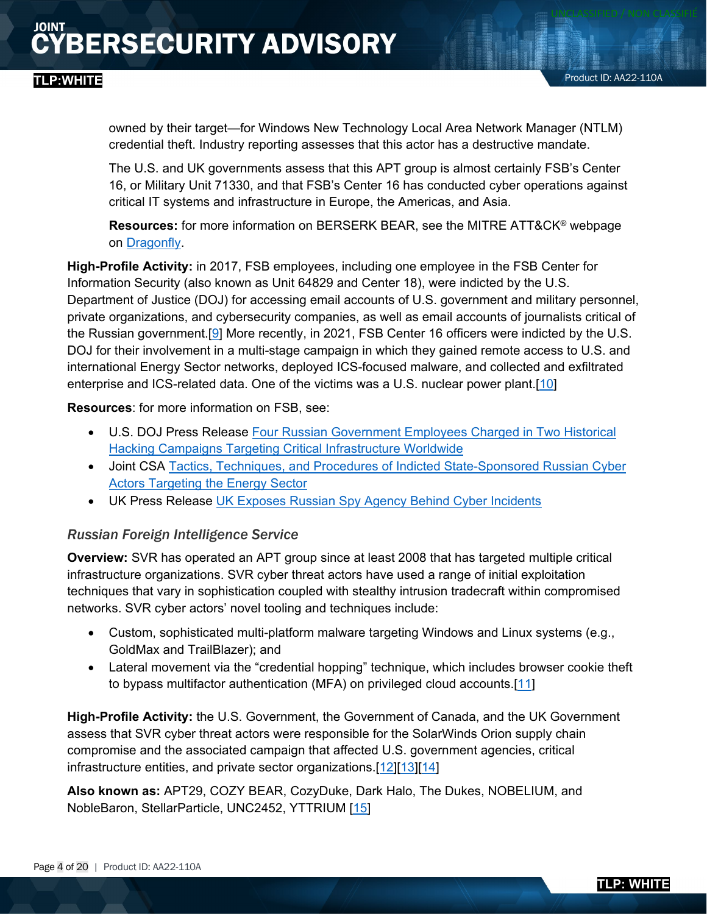owned by their target—for Windows New Technology Local Area Network Manager (NTLM) credential theft. Industry reporting assesses that this actor has a destructive mandate.

The U.S. and UK governments assess that this APT group is almost certainly FSB's Center 16, or Military Unit 71330, and that FSB's Center 16 has conducted cyber operations against critical IT systems and infrastructure in Europe, the Americas, and Asia.

**Resources:** for more information on BERSERK BEAR, see the MITRE ATT&CK® webpage on [Dragonfly.](https://attack.mitre.org/versions/v10/groups/G0035/)

**High-Profile Activity:** in 2017, FSB employees, including one employee in the FSB Center for Information Security (also known as Unit 64829 and Center 18), were indicted by the U.S. Department of Justice (DOJ) for accessing email accounts of U.S. government and military personnel, private organizations, and cybersecurity companies, as well as email accounts of journalists critical of the Russian government.[\[9\]](https://www.justice.gov/opa/pr/us-charges-russian-fsb-officers-and-their-criminal-conspirators-hacking-yahoo-and-millions) More recently, in 2021, FSB Center 16 officers were indicted by the U.S. DOJ for their involvement in a multi-stage campaign in which they gained remote access to U.S. and international Energy Sector networks, deployed ICS-focused malware, and collected and exfiltrated enterprise and ICS-related data. One of the victims was a U.S. nuclear power plant.[\[10\]](https://www.justice.gov/opa/pr/four-russian-government-employees-charged-two-historical-hacking-campaigns-targeting-critical)

**Resources**: for more information on FSB, see:

- U.S. DOJ Press Release [Four Russian Government Employees Charged in Two Historical](https://www.justice.gov/opa/pr/four-russian-government-employees-charged-two-historical-hacking-campaigns-targeting-critical)  [Hacking Campaigns Targeting Critical Infrastructure Worldwide](https://www.justice.gov/opa/pr/four-russian-government-employees-charged-two-historical-hacking-campaigns-targeting-critical)
- Joint CSA [Tactics, Techniques, and Procedures of Indicted State-Sponsored Russian Cyber](https://www.cisa.gov/uscert/ncas/alerts/aa22-083a)  [Actors Targeting the Energy Sector](https://www.cisa.gov/uscert/ncas/alerts/aa22-083a)
- UK Press Release [UK Exposes Russian Spy Agency Behind Cyber Incidents](https://www.gov.uk/government/news/uk-exposes-russian-spy-agency-behind-cyber-incidents)

#### *Russian Foreign Intelligence Service*

**Overview:** SVR has operated an APT group since at least 2008 that has targeted multiple critical infrastructure organizations. SVR cyber threat actors have used a range of initial exploitation techniques that vary in sophistication coupled with stealthy intrusion tradecraft within compromised networks. SVR cyber actors' novel tooling and techniques include:

- Custom, sophisticated multi-platform malware targeting Windows and Linux systems (e.g., GoldMax and TrailBlazer); and
- Lateral movement via the "credential hopping" technique, which includes browser cookie theft to bypass multifactor authentication (MFA) on privileged cloud accounts.[\[11\]](https://www.crowdstrike.com/blog/observations-from-the-stellarparticle-campaign/)

**High-Profile Activity:** the U.S. Government, the Government of Canada, and the UK Government assess that SVR cyber threat actors were responsible for the SolarWinds Orion supply chain compromise and the associated campaign that affected U.S. government agencies, critical infrastructure entities, and private sector organizations.[\[12\]](https://www.whitehouse.gov/briefing-room/statements-releases/2021/04/15/fact-sheet-imposing-costs-for-harmful-foreign-activities-by-the-russian-government/)[\[13\]](https://www.canada.ca/en/global-affairs/news/2021/04/statement-on-solarwinds-cyber-compromise.html)[\[14\]](https://www.gov.uk/government/news/russia-uk-and-us-expose-global-campaigns-of-malign-activity-by-russian-intelligence-services)

**Also known as:** APT29, COZY BEAR, CozyDuke, Dark Halo, The Dukes, NOBELIUM, and NobleBaron, StellarParticle, UNC2452, YTTRIUM [\[15\]](https://attack.mitre.org/versions/v10/groups/G0016/)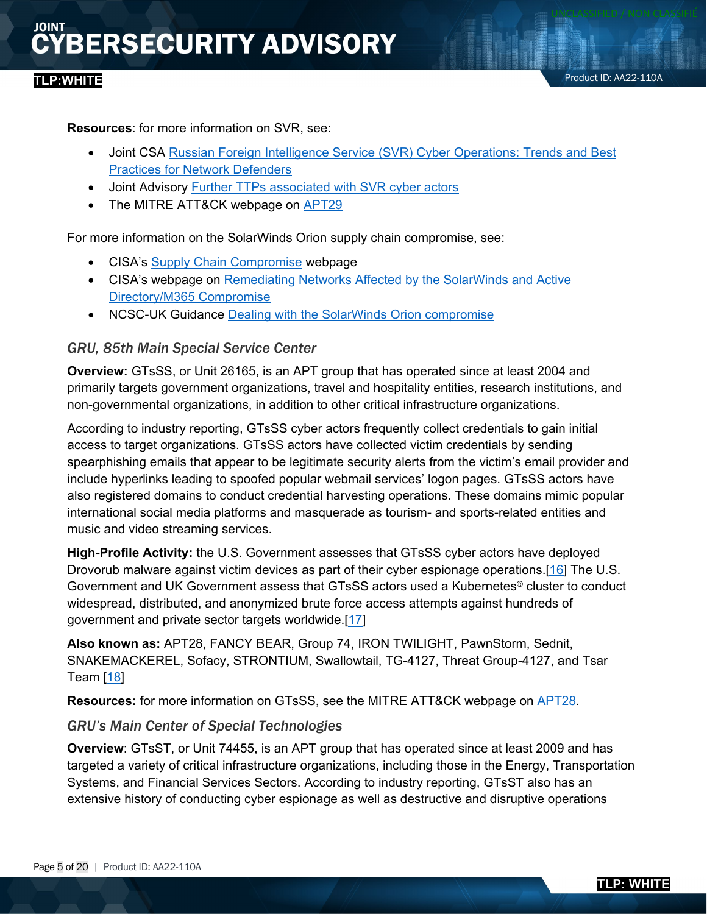#### **TLP:WHITE**

**Resources**: for more information on SVR, see:

- Joint CSA Russian Foreign Intelligence Service (SVR) Cyber Operations: Trends and Best [Practices for Network Defenders](https://www.cisa.gov/uscert/ncas/alerts/aa21-116a)
- Joint Advisory [Further TTPs associated with SVR cyber actors](https://www.ncsc.gov.uk/files/Advisory%20Further%20TTPs%20associated%20with%20SVR%20cyber%20actors.pdf)
- The MITRE ATT&CK webpage on [APT29](https://attack.mitre.org/versions/v10/groups/G0016/)

For more information on the SolarWinds Orion supply chain compromise, see:

- CISA's [Supply Chain Compromise](https://www.cisa.gov/supply-chain-compromise) webpage
- CISA's webpage on [Remediating Networks Affected by the SolarWinds and Active](https://www.cisa.gov/uscert/remediating-apt-compromised-networks)  [Directory/M365 Compromise](https://www.cisa.gov/uscert/remediating-apt-compromised-networks)
- NCSC-UK Guidance [Dealing with the SolarWinds Orion compromise](https://www.ncsc.gov.uk/guidance/dealing-with-the-solarwinds-orion-compromise)

#### *GRU, 85th Main Special Service Center*

**Overview:** GTsSS, or Unit 26165, is an APT group that has operated since at least 2004 and primarily targets government organizations, travel and hospitality entities, research institutions, and non-governmental organizations, in addition to other critical infrastructure organizations.

According to industry reporting, GTsSS cyber actors frequently collect credentials to gain initial access to target organizations. GTsSS actors have collected victim credentials by sending spearphishing emails that appear to be legitimate security alerts from the victim's email provider and include hyperlinks leading to spoofed popular webmail services' logon pages. GTsSS actors have also registered domains to conduct credential harvesting operations. These domains mimic popular international social media platforms and masquerade as tourism- and sports-related entities and music and video streaming services.

**High-Profile Activity:** the U.S. Government assesses that GTsSS cyber actors have deployed Drovorub malware against victim devices as part of their cyber espionage operations.[\[16\]](https://media.defense.gov/2020/Aug/13/2002476465/-1/-1/0/CSA_DROVORUB_RUSSIAN_GRU_MALWARE_AUG_2020.PDF) The U.S. Government and UK Government assess that GTsSS actors used a Kubernetes® cluster to conduct widespread, distributed, and anonymized brute force access attempts against hundreds of government and private sector targets worldwide.[\[17\]](https://media.defense.gov/2021/Jul/01/2002753896/-1/-1/1/CSA_GRU_GLOBAL_BRUTE_FORCE_CAMPAIGN_UOO158036-21.PDF)

**Also known as:** APT28, FANCY BEAR, Group 74, IRON TWILIGHT, PawnStorm, Sednit, SNAKEMACKEREL, Sofacy, STRONTIUM, Swallowtail, TG-4127, Threat Group-4127, and Tsar Team [\[18\]](https://attack.mitre.org/versions/v10/groups/G0007/)

**Resources:** for more information on GTsSS, see the MITRE ATT&CK webpage on [APT28.](https://attack.mitre.org/versions/v10/groups/G0007/)

#### *GRU's Main Center of Special Technologies*

**Overview**: GTsST, or Unit 74455, is an APT group that has operated since at least 2009 and has targeted a variety of critical infrastructure organizations, including those in the Energy, Transportation Systems, and Financial Services Sectors. According to industry reporting, GTsST also has an extensive history of conducting cyber espionage as well as destructive and disruptive operations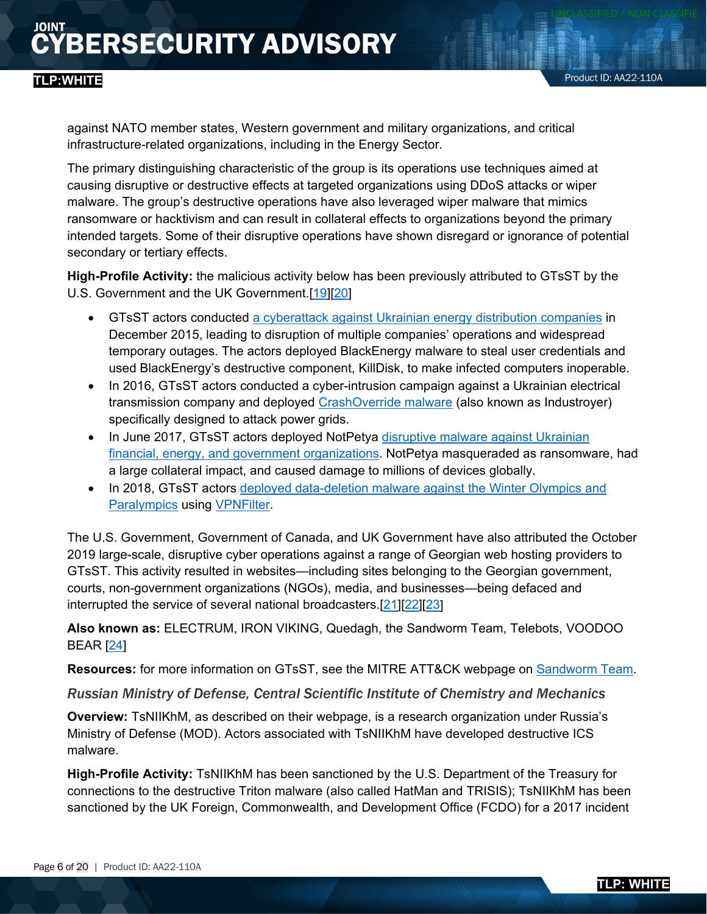against NATO member states, Western government and military organizations, and critical infrastructure-related organizations, including in the Energy Sector.

The primary distinguishing characteristic of the group is its operations use techniques aimed at causing disruptive or destructive effects at targeted organizations using DDoS attacks or wiper malware. The group's destructive operations have also leveraged wiper malware that mimics ransomware or hacktivism and can result in collateral effects to organizations beyond the primary intended targets. Some of their disruptive operations have shown disregard or ignorance of potential secondary or tertiary effects.

**High-Profile Activity:** the malicious activity below has been previously attributed to GTsST by the U.S. Government and the UK Government.[\[19\]](https://www.cisa.gov/uscert/ncas/alerts/aa22-054a)[\[20\]](https://www.gov.uk/government/news/uk-condemns-russias-gru-over-georgia-cyber-attacks)

- GTsST actors conducted [a cyberattack against Ukrainian energy distribution companies](https://www.cisa.gov/uscert/ics/alerts/ICS-ALERT-14-281-01B) in December 2015, leading to disruption of multiple companies' operations and widespread temporary outages. The actors deployed BlackEnergy malware to steal user credentials and used BlackEnergy's destructive component, KillDisk, to make infected computers inoperable.
- In 2016, GTsST actors conducted a cyber-intrusion campaign against a Ukrainian electrical transmission company and deployed [CrashOverride malware](https://www.cisa.gov/uscert/ncas/alerts/TA17-163A) (also known as Industroyer) specifically designed to attack power grids.
- In June 2017, GTsST actors deployed NotPetya disruptive malware against Ukrainian [financial, energy, and government organizations.](https://www.ncsc.gov.uk/news/russian-military-almost-certainly-responsible-destructive-2017-cyber-attack) NotPetya masqueraded as ransomware, had a large collateral impact, and caused damage to millions of devices globally.
- In 2018, GTsST actors [deployed data-deletion malware against the Winter Olympics and](https://www.ncsc.gov.uk/news/uk-and-partners-condemn-gru-cyber-attacks-against-olympic-an-paralympic-games)  [Paralympics](https://www.ncsc.gov.uk/news/uk-and-partners-condemn-gru-cyber-attacks-against-olympic-an-paralympic-games) using [VPNFilter.](https://www.cisa.gov/uscert/ncas/alerts/TA18-145A)

The U.S. Government, Government of Canada, and UK Government have also attributed the October 2019 large-scale, disruptive cyber operations against a range of Georgian web hosting providers to GTsST. This activity resulted in websites—including sites belonging to the Georgian government, courts, non-government organizations (NGOs), media, and businesses—being defaced and interrupted the service of several national broadcasters.[\[21\]](https://2017-2021.state.gov/the-united-states-condemns-russian-cyber-attack-against-the-country-of-georgia/index.html)[\[22\]](https://cse-cst.gc.ca/en/information-and-resources/announcements/cse-statement-malicious-russian-cyber-activity-targeting)[\[23\]](https://www.gov.uk/government/news/uk-condemns-russias-gru-over-georgia-cyber-attacks)

**Also known as:** ELECTRUM, IRON VIKING, Quedagh, the Sandworm Team, Telebots, VOODOO BEAR [\[24\]](https://attack.mitre.org/versions/v10/groups/G0034/)

**Resources:** for more information on GTsST, see the MITRE ATT&CK webpage on [Sandworm Team.](https://attack.mitre.org/groups/G0034/)

#### *Russian Ministry of Defense, Central Scientific Institute of Chemistry and Mechanics*

**Overview:** TsNIIKhM, as described on their webpage, is a research organization under Russia's Ministry of Defense (MOD). Actors associated with TsNIIKhM have developed destructive ICS malware.

**High-Profile Activity:** TsNIIKhM has been sanctioned by the U.S. Department of the Treasury for connections to the destructive Triton malware (also called HatMan and TRISIS); TsNIIKhM has been sanctioned by the UK Foreign, Commonwealth, and Development Office (FCDO) for a 2017 incident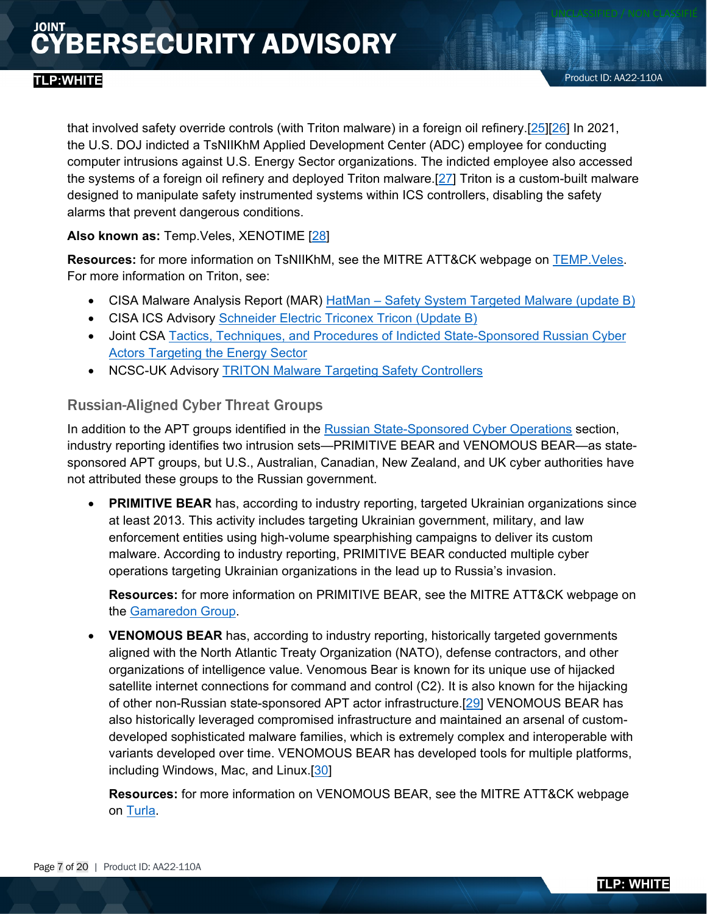that involved safety override controls (with Triton malware) in a foreign oil refinery.[\[25\]](https://home.treasury.gov/news/press-releases/sm1162)[\[26\]](https://www.gov.uk/government/news/uk-exposes-russian-spy-agency-behind-cyber-incidents) In 2021, the U.S. DOJ indicted a TsNIIKhM Applied Development Center (ADC) employee for conducting computer intrusions against U.S. Energy Sector organizations. The indicted employee also accessed the systems of a foreign oil refinery and deployed Triton malware.[\[27\]](https://www.justice.gov/opa/pr/four-russian-government-employees-charged-two-historical-hacking-campaigns-targeting-critical) Triton is a custom-built malware designed to manipulate safety instrumented systems within ICS controllers, disabling the safety alarms that prevent dangerous conditions.

**Also known as:** Temp.Veles, XENOTIME [\[28\]](https://attack.mitre.org/groups/G0088/)

Resources: for more information on TsNIIKhM, see the MITRE ATT&CK webpage on **TEMP. Veles**. For more information on Triton, see:

- CISA Malware Analysis Report (MAR) HatMan [Safety System Targeted Malware \(update B\)](https://www.cisa.gov/uscert/ics/MAR-17-352-01-HatMan-Safety-System-Targeted-Malware-Update-B)
- CISA ICS Advisory [Schneider Electric Triconex Tricon \(Update B\)](https://www.cisa.gov/uscert/ics/advisories/ICSA-18-107-02)
- Joint CSA [Tactics, Techniques, and Procedures of Indicted State-Sponsored Russian Cyber](https://www.cisa.gov/uscert/ncas/alerts/aa22-083a)  [Actors Targeting the Energy Sector](https://www.cisa.gov/uscert/ncas/alerts/aa22-083a)
- NCSC-UK Advisory [TRITON Malware Targeting Safety Controllers](https://www.ncsc.gov.uk/information/triton-malware-targeting-safety-controllers)

#### Russian-Aligned Cyber Threat Groups

In addition to the APT groups identified in the [Russian State-Sponsored Cyber Operations](#page-2-0) section, industry reporting identifies two intrusion sets—PRIMITIVE BEAR and VENOMOUS BEAR—as statesponsored APT groups, but U.S., Australian, Canadian, New Zealand, and UK cyber authorities have not attributed these groups to the Russian government.

• **PRIMITIVE BEAR** has, according to industry reporting, targeted Ukrainian organizations since at least 2013. This activity includes targeting Ukrainian government, military, and law enforcement entities using high-volume spearphishing campaigns to deliver its custom malware. According to industry reporting, PRIMITIVE BEAR conducted multiple cyber operations targeting Ukrainian organizations in the lead up to Russia's invasion.

**Resources:** for more information on PRIMITIVE BEAR, see the MITRE ATT&CK webpage on the [Gamaredon Group.](https://attack.mitre.org/versions/v10/groups/G0047/)

• **VENOMOUS BEAR** has, according to industry reporting, historically targeted governments aligned with the North Atlantic Treaty Organization (NATO), defense contractors, and other organizations of intelligence value. Venomous Bear is known for its unique use of hijacked satellite internet connections for command and control (C2). It is also known for the hijacking of other non-Russian state-sponsored APT actor infrastructure.[\[29\]](https://media.defense.gov/2019/Oct/18/2002197242/-1/-1/0/NSA_CSA_TURLA_20191021%20VER%203%20-%20COPY.PDF) VENOMOUS BEAR has also historically leveraged compromised infrastructure and maintained an arsenal of customdeveloped sophisticated malware families, which is extremely complex and interoperable with variants developed over time. VENOMOUS BEAR has developed tools for multiple platforms, including Windows, Mac, and Linux.[\[30\]](https://www.crowdstrike.com/blog/meet-crowdstrikes-adversary-of-the-month-for-march-venomous-bear/)

**Resources:** for more information on VENOMOUS BEAR, see the MITRE ATT&CK webpage on [Turla.](https://attack.mitre.org/versions/v10/groups/G0010/)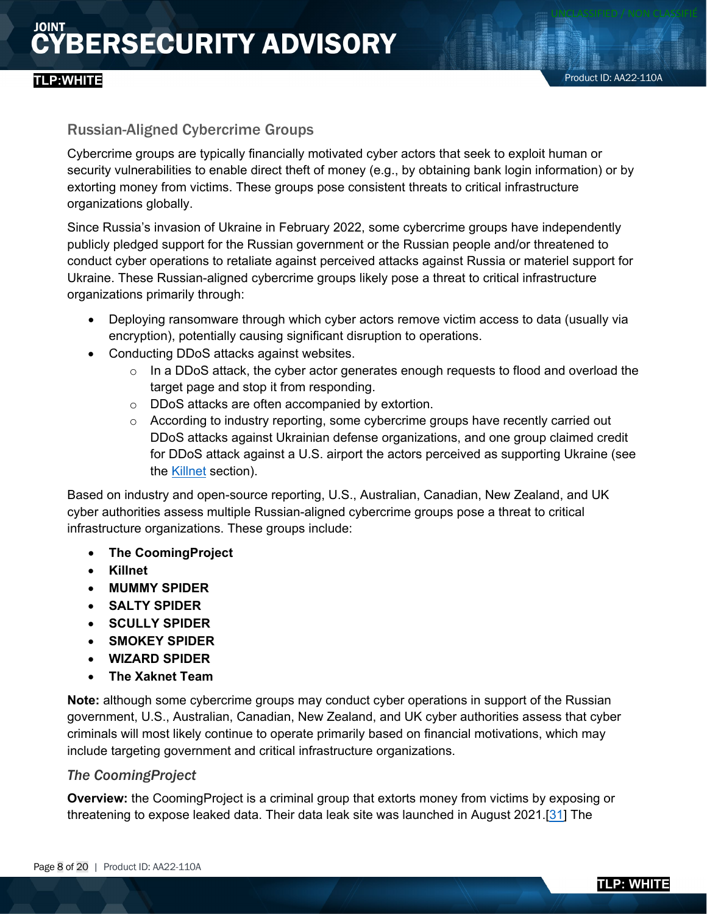#### **TLP:WHITE**

#### Russian-Aligned Cybercrime Groups

Cybercrime groups are typically financially motivated cyber actors that seek to exploit human or security vulnerabilities to enable direct theft of money (e.g., by obtaining bank login information) or by extorting money from victims. These groups pose consistent threats to critical infrastructure organizations globally.

Since Russia's invasion of Ukraine in February 2022, some cybercrime groups have independently publicly pledged support for the Russian government or the Russian people and/or threatened to conduct cyber operations to retaliate against perceived attacks against Russia or materiel support for Ukraine. These Russian-aligned cybercrime groups likely pose a threat to critical infrastructure organizations primarily through:

- Deploying ransomware through which cyber actors remove victim access to data (usually via encryption), potentially causing significant disruption to operations.
- Conducting DDoS attacks against websites.
	- $\circ$  In a DDoS attack, the cyber actor generates enough requests to flood and overload the target page and stop it from responding.
	- o DDoS attacks are often accompanied by extortion.
	- o According to industry reporting, some cybercrime groups have recently carried out DDoS attacks against Ukrainian defense organizations, and one group claimed credit for DDoS attack against a U.S. airport the actors perceived as supporting Ukraine (see the [Killnet](#page-8-0) section).

Based on industry and open-source reporting, U.S., Australian, Canadian, New Zealand, and UK cyber authorities assess multiple Russian-aligned cybercrime groups pose a threat to critical infrastructure organizations. These groups include:

- **The CoomingProject**
- **Killnet**
- **MUMMY SPIDER**
- **SALTY SPIDER**
- **SCULLY SPIDER**
- **SMOKEY SPIDER**
- **WIZARD SPIDER**
- **The Xaknet Team**

**Note:** although some cybercrime groups may conduct cyber operations in support of the Russian government, U.S., Australian, Canadian, New Zealand, and UK cyber authorities assess that cyber criminals will most likely continue to operate primarily based on financial motivations, which may include targeting government and critical infrastructure organizations.

#### *The CoomingProject*

**Overview:** the CoomingProject is a criminal group that extorts money from victims by exposing or threatening to expose leaked data. Their data leak site was launched in August 2021.[\[31\]](https://ke-la.com/aint-no-actor-trustworthy-enough-the-importance-of-validating-sources/) The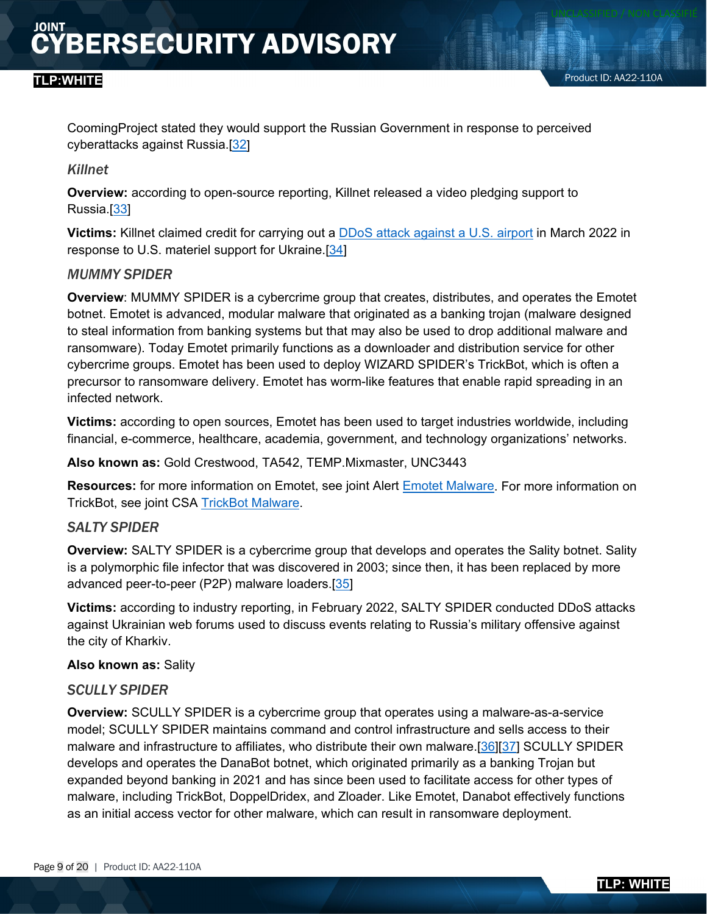CoomingProject stated they would support the Russian Government in response to perceived cyberattacks against Russia.[\[32\]](https://twitter.com/ValeryMarchive/status/1497280612805324800/photo/1)

#### <span id="page-8-0"></span>*Killnet*

**Overview:** according to open-source reporting, Killnet released a video pledging support to Russia.[\[33\]](https://therecord.media/russia-or-ukraine-hacking-groups-take-sides/?msclkid=235244a7ba6611ec92f21c9bd3b8ee49)

**Victims:** Killnet claimed credit for carrying out a [DDoS attack against a U.S. airport](https://www.nbcconnecticut.com/news/local/bradley-airport-website-suffers-cyber-attack/2750473/) in March 2022 in response to U.S. materiel support for Ukraine.[\[34\]](https://mobile.twitter.com/Cyberknow20/status/1508774674070532102)

#### *MUMMY SPIDER*

**Overview**: MUMMY SPIDER is a cybercrime group that creates, distributes, and operates the Emotet botnet. Emotet is advanced, modular malware that originated as a banking trojan (malware designed to steal information from banking systems but that may also be used to drop additional malware and ransomware). Today Emotet primarily functions as a downloader and distribution service for other cybercrime groups. Emotet has been used to deploy WIZARD SPIDER's TrickBot, which is often a precursor to ransomware delivery. Emotet has worm-like features that enable rapid spreading in an infected network.

**Victims:** according to open sources, Emotet has been used to target industries worldwide, including financial, e-commerce, healthcare, academia, government, and technology organizations' networks.

**Also known as:** Gold Crestwood, TA542, TEMP.Mixmaster, UNC3443

**Resources:** for more information on Emotet, see joint Alert [Emotet Malware.](https://www.cisa.gov/uscert/ncas/alerts/TA18-201A) For more information on TrickBot, see joint CSA [TrickBot Malware.](https://www.cisa.gov/uscert/ncas/alerts/aa21-076a)

#### *SALTY SPIDER*

**Overview:** SALTY SPIDER is a cybercrime group that develops and operates the Sality botnet. Sality is a polymorphic file infector that was discovered in 2003; since then, it has been replaced by more advanced peer-to-peer (P2P) malware loaders.[\[35\]](https://www.crowdstrike.com/blog/who-is-salty-spider/)

**Victims:** according to industry reporting, in February 2022, SALTY SPIDER conducted DDoS attacks against Ukrainian web forums used to discuss events relating to Russia's military offensive against the city of Kharkiv.

#### **Also known as:** Sality

#### *SCULLY SPIDER*

**Overview:** SCULLY SPIDER is a cybercrime group that operates using a malware-as-a-service model; SCULLY SPIDER maintains command and control infrastructure and sells access to their malware and infrastructure to affiliates, who distribute their own malware.[\[36\]](https://www.proofpoint.com/us/blog/threat-insight/new-year-new-version-danabot)[\[37\]](https://www.zscaler.com/blogs/security-research/spike-danabot-malware-activity) SCULLY SPIDER develops and operates the DanaBot botnet, which originated primarily as a banking Trojan but expanded beyond banking in 2021 and has since been used to facilitate access for other types of malware, including TrickBot, DoppelDridex, and Zloader. Like Emotet, Danabot effectively functions as an initial access vector for other malware, which can result in ransomware deployment.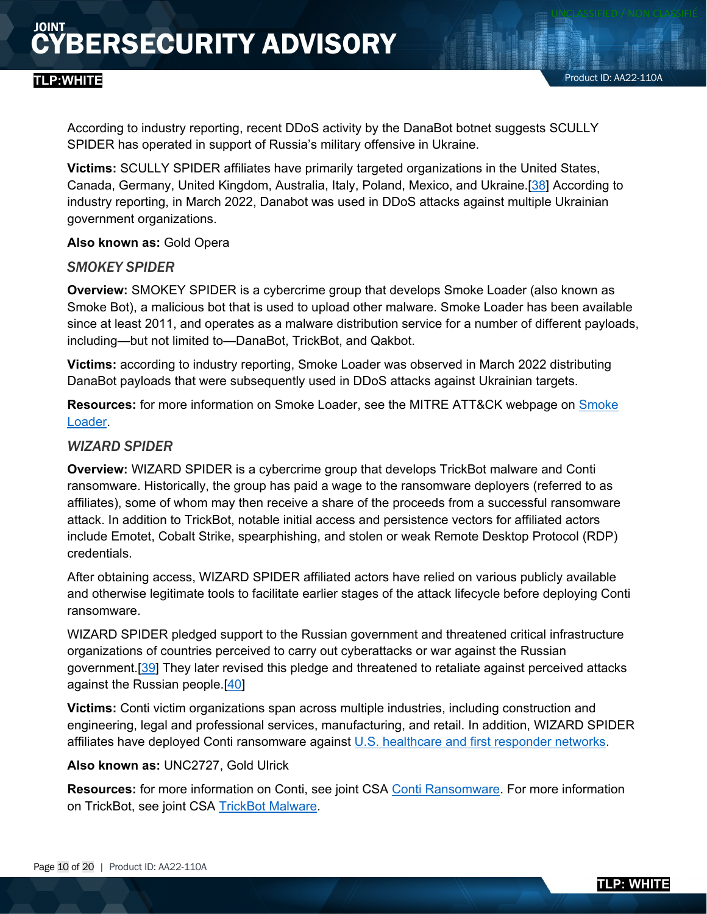According to industry reporting, recent DDoS activity by the DanaBot botnet suggests SCULLY SPIDER has operated in support of Russia's military offensive in Ukraine.

**Victims:** SCULLY SPIDER affiliates have primarily targeted organizations in the United States, Canada, Germany, United Kingdom, Australia, Italy, Poland, Mexico, and Ukraine.[\[38\]](https://www.proofpoint.com/us/blog/threat-insight/new-year-new-version-danabot) According to industry reporting, in March 2022, Danabot was used in DDoS attacks against multiple Ukrainian government organizations.

**Also known as:** Gold Opera

#### *SMOKEY SPIDER*

**Overview:** SMOKEY SPIDER is a cybercrime group that develops Smoke Loader (also known as Smoke Bot), a malicious bot that is used to upload other malware. Smoke Loader has been available since at least 2011, and operates as a malware distribution service for a number of different payloads, including—but not limited to—DanaBot, TrickBot, and Qakbot.

**Victims:** according to industry reporting, Smoke Loader was observed in March 2022 distributing DanaBot payloads that were subsequently used in DDoS attacks against Ukrainian targets.

**Resources:** for more information on Smoke Loader, see the MITRE ATT&CK webpage on [Smoke](https://attack.mitre.org/versions/v10/software/S0226/)  [Loader.](https://attack.mitre.org/versions/v10/software/S0226/)

#### *WIZARD SPIDER*

**Overview:** WIZARD SPIDER is a cybercrime group that develops TrickBot malware and Conti ransomware. Historically, the group has paid a wage to the ransomware deployers (referred to as affiliates), some of whom may then receive a share of the proceeds from a successful ransomware attack. In addition to TrickBot, notable initial access and persistence vectors for affiliated actors include Emotet, Cobalt Strike, spearphishing, and stolen or weak Remote Desktop Protocol (RDP) credentials.

After obtaining access, WIZARD SPIDER affiliated actors have relied on various publicly available and otherwise legitimate tools to facilitate earlier stages of the attack lifecycle before deploying Conti ransomware.

WIZARD SPIDER pledged support to the Russian government and threatened critical infrastructure organizations of countries perceived to carry out cyberattacks or war against the Russian government.[\[39\]](https://therecord.media/russia-or-ukraine-hacking-groups-take-sides/) They later revised this pledge and threatened to retaliate against perceived attacks against the Russian people.[\[40\]](https://www.techtarget.com/searchsecurity/news/252513982/Conti-ransomware-gang-backs-Russia-threatens-US)

**Victims:** Conti victim organizations span across multiple industries, including construction and engineering, legal and professional services, manufacturing, and retail. In addition, WIZARD SPIDER affiliates have deployed Conti ransomware against [U.S. healthcare and first responder networks.](https://www.ic3.gov/Media/News/2021/210521.pdf)

#### **Also known as:** UNC2727, Gold Ulrick

**Resources:** for more information on Conti, see joint CSA [Conti Ransomware.](https://www.cisa.gov/uscert/ncas/alerts/aa21-265a) For more information on TrickBot, see joint CSA [TrickBot Malware.](https://www.cisa.gov/uscert/ncas/alerts/aa21-076a)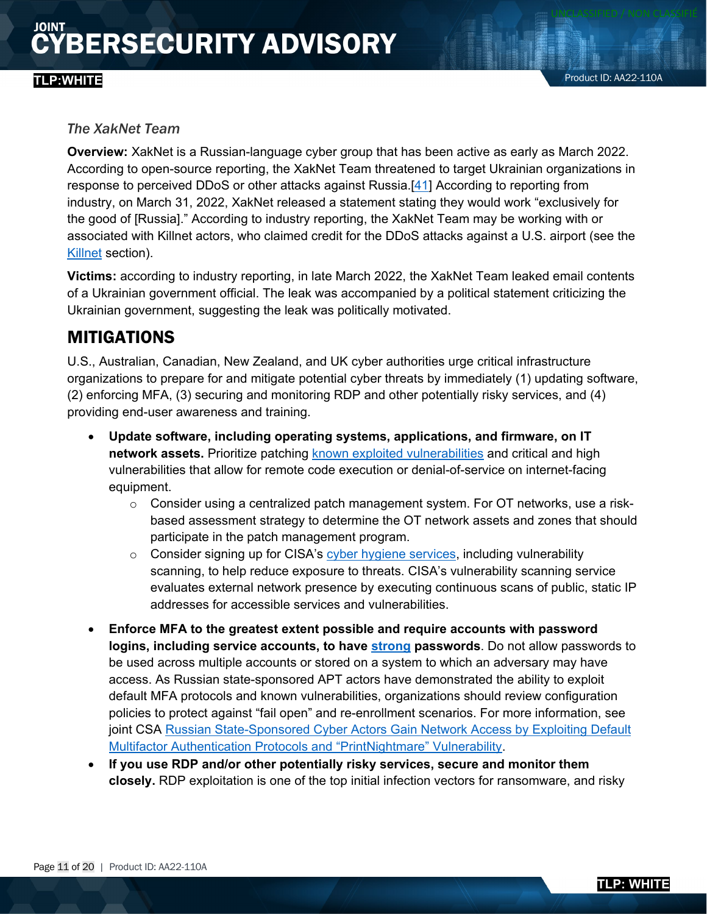#### *The XakNet Team*

**Overview:** XakNet is a Russian-language cyber group that has been active as early as March 2022. According to open-source reporting, the XakNet Team threatened to target Ukrainian organizations in response to perceived DDoS or other attacks against Russia.[\[41\]](https://therecord.media/russia-or-ukraine-hacking-groups-take-sides/) According to reporting from industry, on March 31, 2022, XakNet released a statement stating they would work "exclusively for the good of [Russia]." According to industry reporting, the XakNet Team may be working with or associated with Killnet actors, who claimed credit for the DDoS attacks against a U.S. airport (see the [Killnet](#page-8-0) section).

**Victims:** according to industry reporting, in late March 2022, the XakNet Team leaked email contents of a Ukrainian government official. The leak was accompanied by a political statement criticizing the Ukrainian government, suggesting the leak was politically motivated.

### <span id="page-10-0"></span>MITIGATIONS

U.S., Australian, Canadian, New Zealand, and UK cyber authorities urge critical infrastructure organizations to prepare for and mitigate potential cyber threats by immediately (1) updating software, (2) enforcing MFA, (3) securing and monitoring RDP and other potentially risky services, and (4) providing end-user awareness and training.

- **Update software, including operating systems, applications, and firmware, on IT network assets.** Prioritize patching [known exploited vulnerabilities](https://www.cisa.gov/known-exploited-vulnerabilities-catalog) and critical and high vulnerabilities that allow for remote code execution or denial-of-service on internet-facing equipment.
	- $\circ$  Consider using a centralized patch management system. For OT networks, use a riskbased assessment strategy to determine the OT network assets and zones that should participate in the patch management program.
	- $\circ$  Consider signing up for CISA's [cyber hygiene services,](https://www.cisa.gov/cyber-hygiene-services) including vulnerability scanning, to help reduce exposure to threats. CISA's vulnerability scanning service evaluates external network presence by executing continuous scans of public, static IP addresses for accessible services and vulnerabilities.
- **Enforce MFA to the greatest extent possible and require accounts with password logins, including service accounts, to have [strong](https://www.cisa.gov/tips/st04-002) passwords**. Do not allow passwords to be used across multiple accounts or stored on a system to which an adversary may have access. As Russian state-sponsored APT actors have demonstrated the ability to exploit default MFA protocols and known vulnerabilities, organizations should review configuration policies to protect against "fail open" and re-enrollment scenarios. For more information, see joint CSA Russian State-Sponsored Cyber Actors Gain Network Access by Exploiting Default [Multifactor Authentication Protocols and "PrintNightmare" Vulnerability.](https://www.cisa.gov/uscert/ncas/alerts/aa22-074a)
- **If you use RDP and/or other potentially risky services, secure and monitor them closely.** RDP exploitation is one of the top initial infection vectors for ransomware, and risky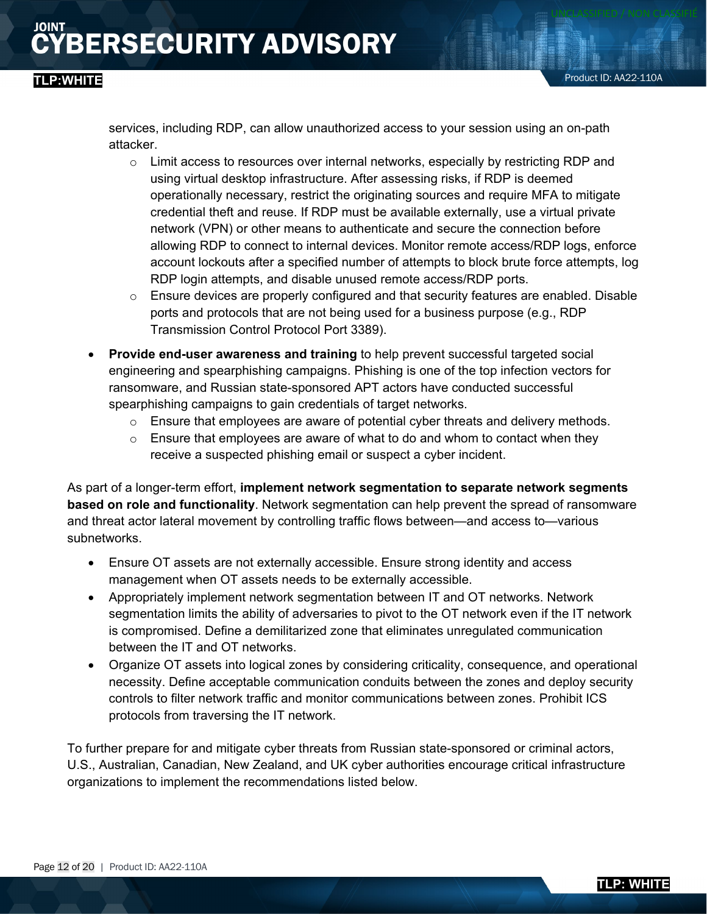services, including RDP, can allow unauthorized access to your session using an on-path attacker.

- $\circ$  Limit access to resources over internal networks, especially by restricting RDP and using virtual desktop infrastructure. After assessing risks, if RDP is deemed operationally necessary, restrict the originating sources and require MFA to mitigate credential theft and reuse. If RDP must be available externally, use a virtual private network (VPN) or other means to authenticate and secure the connection before allowing RDP to connect to internal devices. Monitor remote access/RDP logs, enforce account lockouts after a specified number of attempts to block brute force attempts, log RDP login attempts, and disable unused remote access/RDP ports.
- $\circ$  Ensure devices are properly configured and that security features are enabled. Disable ports and protocols that are not being used for a business purpose (e.g., RDP Transmission Control Protocol Port 3389).
- **Provide end-user awareness and training** to help prevent successful targeted social engineering and spearphishing campaigns. Phishing is one of the top infection vectors for ransomware, and Russian state-sponsored APT actors have conducted successful spearphishing campaigns to gain credentials of target networks.
	- $\circ$  Ensure that employees are aware of potential cyber threats and delivery methods.
	- $\circ$  Ensure that employees are aware of what to do and whom to contact when they receive a suspected phishing email or suspect a cyber incident.

As part of a longer-term effort, **implement network segmentation to separate network segments based on role and functionality**. Network segmentation can help prevent the spread of ransomware and threat actor lateral movement by controlling traffic flows between—and access to—various subnetworks.

- Ensure OT assets are not externally accessible. Ensure strong identity and access management when OT assets needs to be externally accessible.
- Appropriately implement network segmentation between IT and OT networks. Network segmentation limits the ability of adversaries to pivot to the OT network even if the IT network is compromised. Define a demilitarized zone that eliminates unregulated communication between the IT and OT networks.
- Organize OT assets into logical zones by considering criticality, consequence, and operational necessity. Define acceptable communication conduits between the zones and deploy security controls to filter network traffic and monitor communications between zones. Prohibit ICS protocols from traversing the IT network.

To further prepare for and mitigate cyber threats from Russian state-sponsored or criminal actors, U.S., Australian, Canadian, New Zealand, and UK cyber authorities encourage critical infrastructure organizations to implement the recommendations listed below.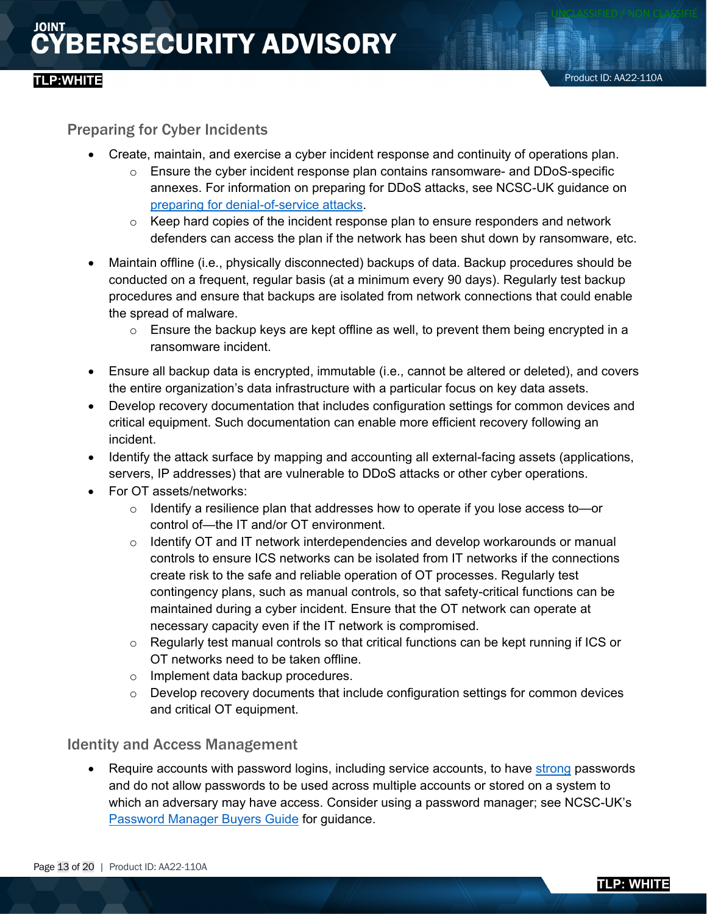#### Preparing for Cyber Incidents

- Create, maintain, and exercise a cyber incident response and continuity of operations plan.
	- $\circ$  Ensure the cyber incident response plan contains ransomware- and DDoS-specific annexes. For information on preparing for DDoS attacks, see NCSC-UK guidance on [preparing for denial-of-service attacks.](https://www.ncsc.gov.uk/collection/denial-service-dos-guidance-collection/preparing-denial-service-dos-attacks1)
	- $\circ$  Keep hard copies of the incident response plan to ensure responders and network defenders can access the plan if the network has been shut down by ransomware, etc.
- Maintain offline (i.e., physically disconnected) backups of data. Backup procedures should be conducted on a frequent, regular basis (at a minimum every 90 days). Regularly test backup procedures and ensure that backups are isolated from network connections that could enable the spread of malware.
	- o Ensure the backup keys are kept offline as well, to prevent them being encrypted in a ransomware incident.
- Ensure all backup data is encrypted, immutable (i.e., cannot be altered or deleted), and covers the entire organization's data infrastructure with a particular focus on key data assets.
- Develop recovery documentation that includes configuration settings for common devices and critical equipment. Such documentation can enable more efficient recovery following an incident.
- Identify the attack surface by mapping and accounting all external-facing assets (applications, servers, IP addresses) that are vulnerable to DDoS attacks or other cyber operations.
- For OT assets/networks:
	- $\circ$  Identify a resilience plan that addresses how to operate if you lose access to or control of—the IT and/or OT environment.
	- o Identify OT and IT network interdependencies and develop workarounds or manual controls to ensure ICS networks can be isolated from IT networks if the connections create risk to the safe and reliable operation of OT processes. Regularly test contingency plans, such as manual controls, so that safety-critical functions can be maintained during a cyber incident. Ensure that the OT network can operate at necessary capacity even if the IT network is compromised.
	- $\circ$  Regularly test manual controls so that critical functions can be kept running if ICS or OT networks need to be taken offline.
	- o Implement data backup procedures.
	- $\circ$  Develop recovery documents that include configuration settings for common devices and critical OT equipment.

#### Identity and Access Management

• Require accounts with password logins, including service accounts, to have [strong](https://www.us-cert.cisa.gov/ncas/tips/ST04-002) passwords and do not allow passwords to be used across multiple accounts or stored on a system to which an adversary may have access. Consider using a password manager; see NCSC-UK's [Password Manager Buyers Guide](https://www.ncsc.gov.uk/collection/passwords/password-manager-buyers-guide) for guidance.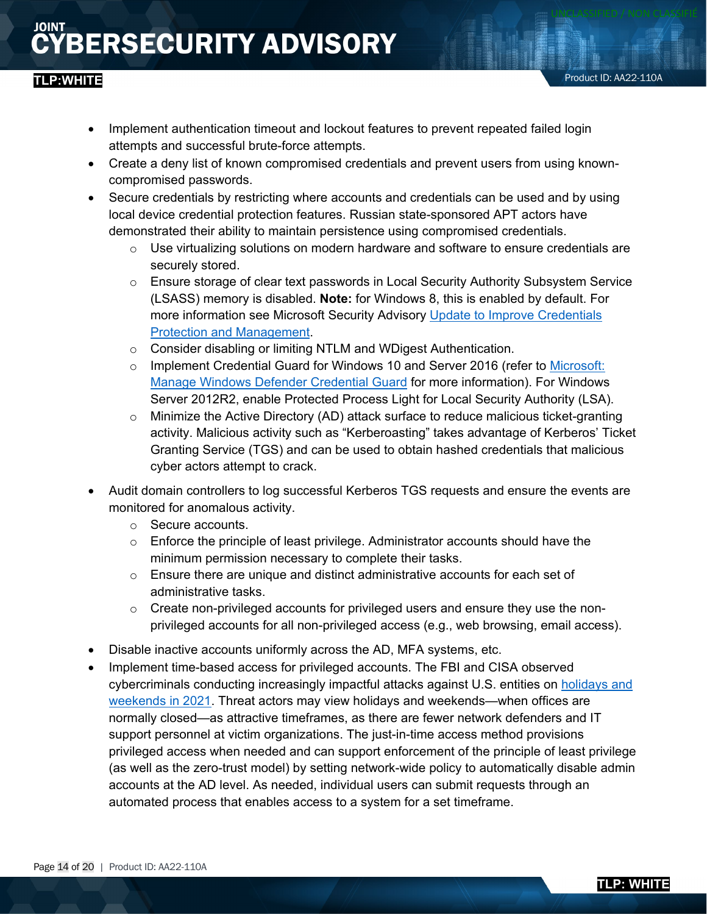### **TLP:WHITE**

- Implement authentication timeout and lockout features to prevent repeated failed login attempts and successful brute-force attempts.
- Create a deny list of known compromised credentials and prevent users from using knowncompromised passwords.
- Secure credentials by restricting where accounts and credentials can be used and by using local device credential protection features. Russian state-sponsored APT actors have demonstrated their ability to maintain persistence using compromised credentials.
	- $\circ$  Use virtualizing solutions on modern hardware and software to ensure credentials are securely stored.
	- $\circ$  Ensure storage of clear text passwords in Local Security Authority Subsystem Service (LSASS) memory is disabled. **Note:** for Windows 8, this is enabled by default. For more information see Microsoft Security Advisory Update to Improve Credentials [Protection and Management.](https://support.microsoft.com/en-us/topic/microsoft-security-advisory-update-to-improve-credentials-protection-and-management-may-13-2014-93434251-04ac-b7f3-52aa-9f951c14b649)
	- o Consider disabling or limiting NTLM and WDigest Authentication.
	- o Implement Credential Guard for Windows 10 and Server 2016 (refer to [Microsoft:](https://docs.microsoft.com/en-us/windows/security/identity-protection/credential-guard/credential-guard-manage)  [Manage Windows Defender Credential Guard](https://docs.microsoft.com/en-us/windows/security/identity-protection/credential-guard/credential-guard-manage) for more information). For Windows Server 2012R2, enable Protected Process Light for Local Security Authority (LSA).
	- Minimize the Active Directory (AD) attack surface to reduce malicious ticket-granting activity. Malicious activity such as "Kerberoasting" takes advantage of Kerberos' Ticket Granting Service (TGS) and can be used to obtain hashed credentials that malicious cyber actors attempt to crack.
- Audit domain controllers to log successful Kerberos TGS requests and ensure the events are monitored for anomalous activity.
	- o Secure accounts.
	- $\circ$  Enforce the principle of least privilege. Administrator accounts should have the minimum permission necessary to complete their tasks.
	- $\circ$  Ensure there are unique and distinct administrative accounts for each set of administrative tasks.
	- $\circ$  Create non-privileged accounts for privileged users and ensure they use the nonprivileged accounts for all non-privileged access (e.g., web browsing, email access).
- Disable inactive accounts uniformly across the AD, MFA systems, etc.
- Implement time-based access for privileged accounts. The FBI and CISA observed cybercriminals conducting increasingly impactful attacks against U.S. entities on [holidays and](https://www.cisa.gov/uscert/ncas/alerts/aa21-243a)  [weekends in 2021.](https://www.cisa.gov/uscert/ncas/alerts/aa21-243a) Threat actors may view holidays and weekends—when offices are normally closed—as attractive timeframes, as there are fewer network defenders and IT support personnel at victim organizations. The just-in-time access method provisions privileged access when needed and can support enforcement of the principle of least privilege (as well as the zero-trust model) by setting network-wide policy to automatically disable admin accounts at the AD level. As needed, individual users can submit requests through an automated process that enables access to a system for a set timeframe.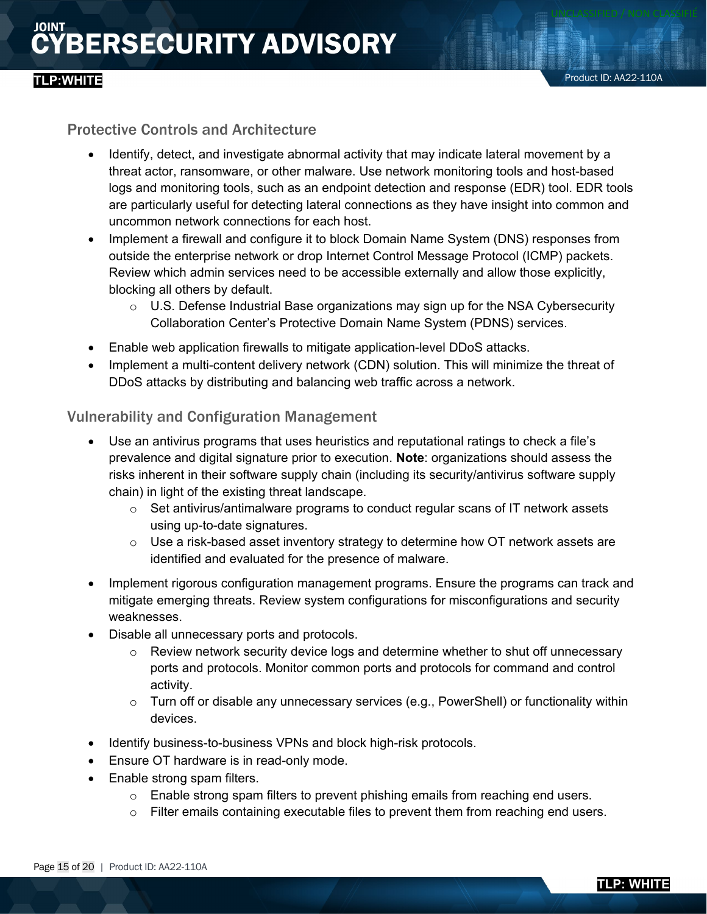## **TLP:WHITE**

#### Protective Controls and Architecture

- Identify, detect, and investigate abnormal activity that may indicate lateral movement by a threat actor, ransomware, or other malware. Use network monitoring tools and host-based logs and monitoring tools, such as an endpoint detection and response (EDR) tool. EDR tools are particularly useful for detecting lateral connections as they have insight into common and uncommon network connections for each host.
- Implement a firewall and configure it to block Domain Name System (DNS) responses from outside the enterprise network or drop Internet Control Message Protocol (ICMP) packets. Review which admin services need to be accessible externally and allow those explicitly, blocking all others by default.
	- $\circ$  U.S. Defense Industrial Base organizations may sign up for the NSA Cybersecurity Collaboration Center's Protective Domain Name System (PDNS) services.
- Enable web application firewalls to mitigate application-level DDoS attacks.
- Implement a multi-content delivery network (CDN) solution. This will minimize the threat of DDoS attacks by distributing and balancing web traffic across a network.

#### Vulnerability and Configuration Management

- Use an antivirus programs that uses heuristics and reputational ratings to check a file's prevalence and digital signature prior to execution. **Note**: organizations should assess the risks inherent in their software supply chain (including its security/antivirus software supply chain) in light of the existing threat landscape.
	- $\circ$  Set antivirus/antimalware programs to conduct regular scans of IT network assets using up-to-date signatures.
	- $\circ$  Use a risk-based asset inventory strategy to determine how OT network assets are identified and evaluated for the presence of malware.
- Implement rigorous configuration management programs. Ensure the programs can track and mitigate emerging threats. Review system configurations for misconfigurations and security weaknesses.
- Disable all unnecessary ports and protocols.
	- $\circ$  Review network security device logs and determine whether to shut off unnecessary ports and protocols. Monitor common ports and protocols for command and control activity.
	- $\circ$  Turn off or disable any unnecessary services (e.g., PowerShell) or functionality within devices.
- Identify business-to-business VPNs and block high-risk protocols.
- Ensure OT hardware is in read-only mode.
- Enable strong spam filters.
	- $\circ$  Enable strong spam filters to prevent phishing emails from reaching end users.
	- o Filter emails containing executable files to prevent them from reaching end users.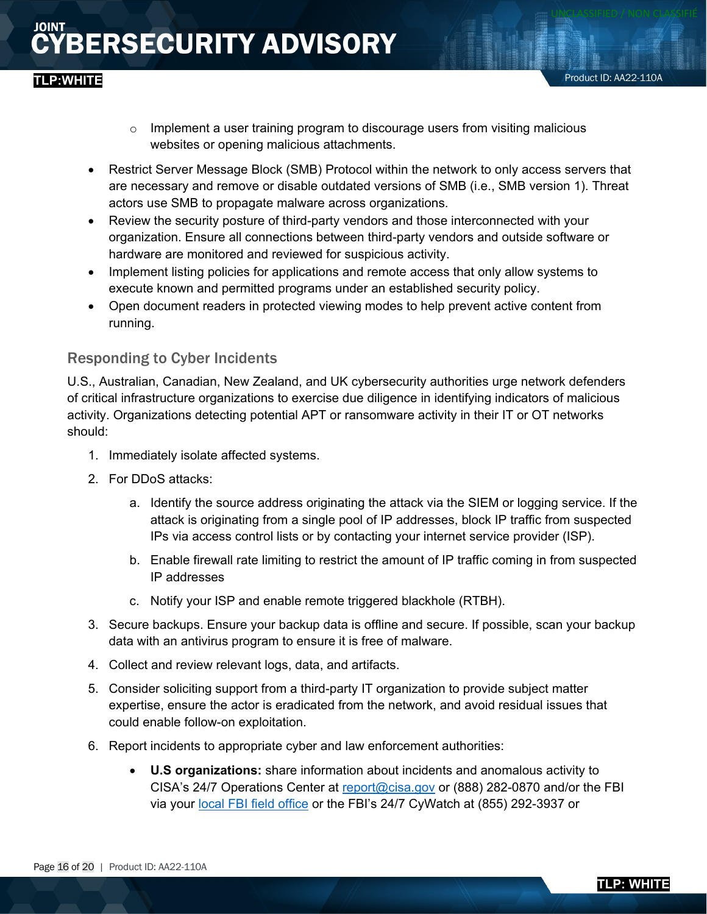- o Implement a user training program to discourage users from visiting malicious websites or opening malicious attachments.
- Restrict Server Message Block (SMB) Protocol within the network to only access servers that are necessary and remove or disable outdated versions of SMB (i.e., SMB version 1). Threat actors use SMB to propagate malware across organizations.
- Review the security posture of third-party vendors and those interconnected with your organization. Ensure all connections between third-party vendors and outside software or hardware are monitored and reviewed for suspicious activity.
- Implement listing policies for applications and remote access that only allow systems to execute known and permitted programs under an established security policy.
- Open document readers in protected viewing modes to help prevent active content from running.

#### Responding to Cyber Incidents

U.S., Australian, Canadian, New Zealand, and UK cybersecurity authorities urge network defenders of critical infrastructure organizations to exercise due diligence in identifying indicators of malicious activity. Organizations detecting potential APT or ransomware activity in their IT or OT networks should:

- 1. Immediately isolate affected systems.
- 2. For DDoS attacks:
	- a. Identify the source address originating the attack via the SIEM or logging service. If the attack is originating from a single pool of IP addresses, block IP traffic from suspected IPs via access control lists or by contacting your internet service provider (ISP).
	- b. Enable firewall rate limiting to restrict the amount of IP traffic coming in from suspected IP addresses
	- c. Notify your ISP and enable remote triggered blackhole (RTBH).
- 3. Secure backups. Ensure your backup data is offline and secure. If possible, scan your backup data with an antivirus program to ensure it is free of malware.
- 4. Collect and review relevant logs, data, and artifacts.
- 5. Consider soliciting support from a third-party IT organization to provide subject matter expertise, ensure the actor is eradicated from the network, and avoid residual issues that could enable follow-on exploitation.
- 6. Report incidents to appropriate cyber and law enforcement authorities:
	- **U.S organizations:** share information about incidents and anomalous activity to CISA's 24/7 Operations Center at [report@cisa.gov](mailto:report@cisa.gov) or (888) 282-0870 and/or the FBI via your [local FBI field office](http://www.fbi.gov/contact-us/field) or the FBI's 24/7 CyWatch at (855) 292-3937 or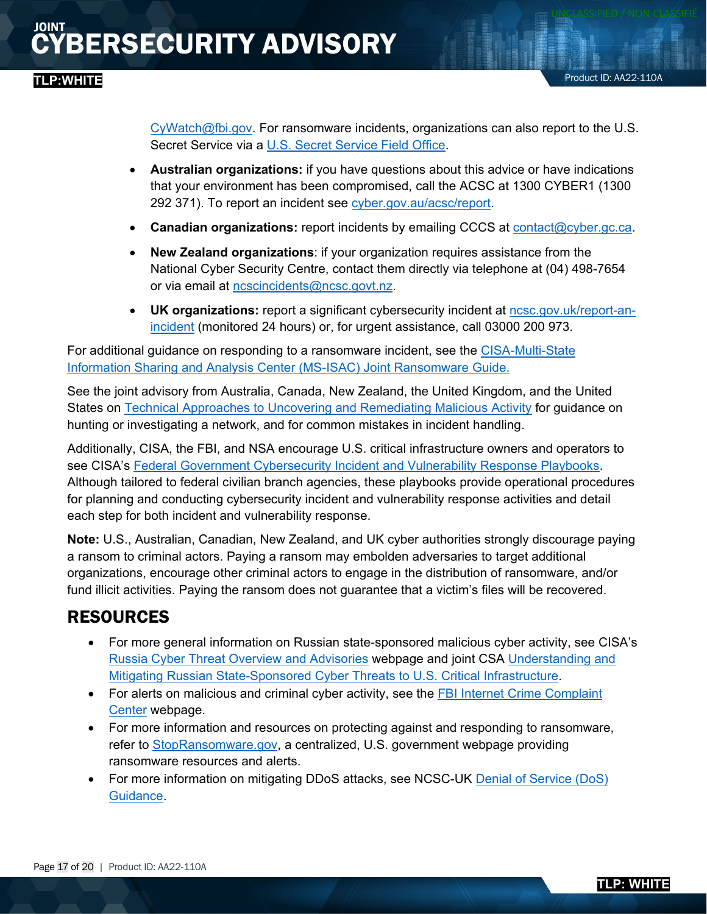[CyWatch@fbi.gov.](mailto:CyWatch@fbi.gov) For ransomware incidents, organizations can also report to the U.S. Secret Service via a [U.S. Secret Service Field Office.](http://www.secretservice.gov/contact/field-offices/)

- **Australian organizations:** if you have questions about this advice or have indications that your environment has been compromised, call the ACSC at 1300 CYBER1 (1300 292 371). To report an incident see [cyber.gov.au/acsc/report.](https://www.cyber.gov.au/acsc/report)
- **Canadian organizations:** report incidents by emailing CCCS at **contact@cyber.gc.ca**.
- **New Zealand organizations**: if your organization requires assistance from the National Cyber Security Centre, contact them directly via telephone at (04) 498-7654 or via email at [ncscincidents@ncsc.govt.nz.](mailto:ncscincidents@ncsc.govt.nz)
- **UK organizations:** report a significant cybersecurity incident at [ncsc.gov.uk/report-an](https://www.ncsc.gov.uk/section/about-this-website/contact-us)[incident](https://www.ncsc.gov.uk/section/about-this-website/contact-us) (monitored 24 hours) or, for urgent assistance, call 03000 200 973.

For additional guidance on responding to a ransomware incident, see the [CISA-Multi-State](https://www.cisa.gov/sites/default/files/publications/CISA_MS-ISAC_Ransomware%20Guide_S508C_.pdf)  [Information Sharing and Analysis Center \(MS-ISAC\) Joint Ransomware Guide.](https://www.cisa.gov/sites/default/files/publications/CISA_MS-ISAC_Ransomware%20Guide_S508C_.pdf)

See the joint advisory from Australia, Canada, New Zealand, the United Kingdom, and the United States on [Technical Approaches to Uncovering and Remediating Malicious Activity](https://us-cert.cisa.gov/ncas/alerts/aa20-245a) for guidance on hunting or investigating a network, and for common mistakes in incident handling.

Additionally, CISA, the FBI, and NSA encourage U.S. critical infrastructure owners and operators to see CISA's [Federal Government Cybersecurity Incident and Vulnerability Response Playbooks.](https://cisa.gov/sites/default/files/publications/Federal_Government_Cybersecurity_Incident_and_Vulnerability_Response_Playbooks_508C.pdf) Although tailored to federal civilian branch agencies, these playbooks provide operational procedures for planning and conducting cybersecurity incident and vulnerability response activities and detail each step for both incident and vulnerability response.

**Note:** U.S., Australian, Canadian, New Zealand, and UK cyber authorities strongly discourage paying a ransom to criminal actors. Paying a ransom may embolden adversaries to target additional organizations, encourage other criminal actors to engage in the distribution of ransomware, and/or fund illicit activities. Paying the ransom does not guarantee that a victim's files will be recovered.

### RESOURCES

- For more general information on Russian state-sponsored malicious cyber activity, see CISA's [Russia Cyber Threat Overview and Advisories](https://www.cisa.gov/uscert/russia) webpage and joint CSA [Understanding and](https://www.cisa.gov/uscert/ncas/alerts/aa22-011a)  [Mitigating Russian State-Sponsored Cyber Threats to U.S. Critical Infrastructure.](https://www.cisa.gov/uscert/ncas/alerts/aa22-011a)
- For alerts on malicious and criminal cyber activity, see the FBI Internet Crime Complaint [Center](https://www.ic3.gov/) webpage.
- For more information and resources on protecting against and responding to ransomware, refer to [StopRansomware.gov,](https://www.cisa.gov/stopransomware/) a centralized, U.S. government webpage providing ransomware resources and alerts.
- For more information on mitigating DDoS attacks, see NCSC-UK Denial of Service (DoS) [Guidance.](https://www.ncsc.gov.uk/collection/denial-service-dos-guidance-collection)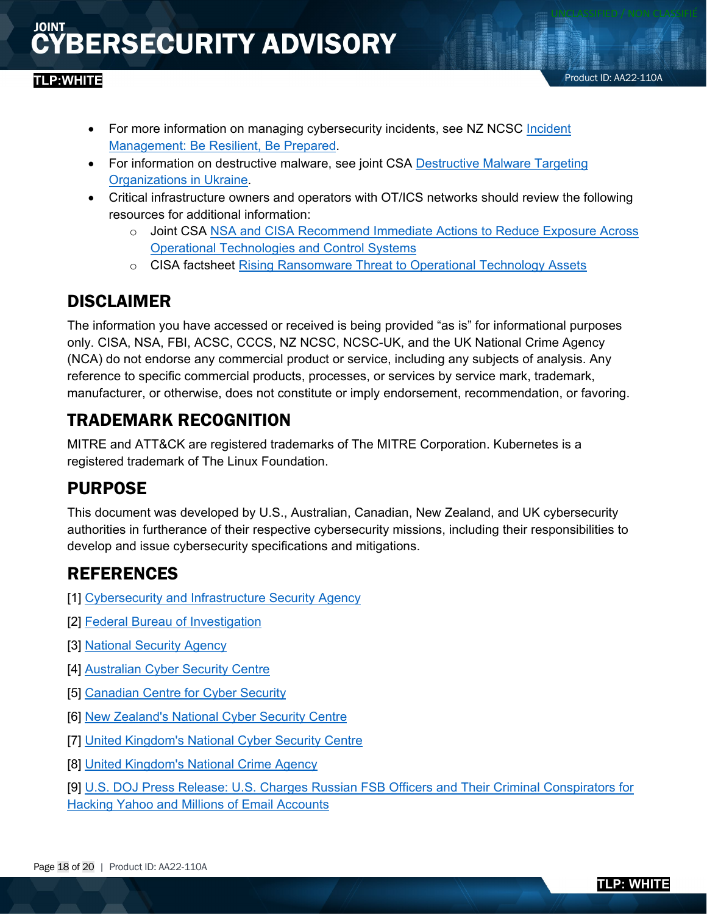#### **TLP:WHITE**

- For more information on managing cybersecurity incidents, see NZ NCSC Incident [Management: Be Resilient, Be Prepared.](https://www.ncsc.govt.nz/guidance/incident-management/)
- For information on destructive malware, see joint CSA Destructive Malware Targeting [Organizations in Ukraine.](https://www.cisa.gov/uscert/ncas/alerts/aa22-057a)
- Critical infrastructure owners and operators with OT/ICS networks should review the following resources for additional information:
	- o Joint CSA [NSA and CISA Recommend Immediate Actions to Reduce Exposure Across](https://www.cisa.gov/uscert/ncas/alerts/aa20-205a)  [Operational Technologies and Control Systems](https://www.cisa.gov/uscert/ncas/alerts/aa20-205a)
	- o CISA factsheet [Rising Ransomware Threat to Operational Technology Assets](https://www.cisa.gov/sites/default/files/publications/CISA_Fact_Sheet-Rising_Ransomware_Threat_to_OT_Assets_508C.pdf)

### DISCLAIMER

The information you have accessed or received is being provided "as is" for informational purposes only. CISA, NSA, FBI, ACSC, CCCS, NZ NCSC, NCSC-UK, and the UK National Crime Agency (NCA) do not endorse any commercial product or service, including any subjects of analysis. Any reference to specific commercial products, processes, or services by service mark, trademark, manufacturer, or otherwise, does not constitute or imply endorsement, recommendation, or favoring.

### TRADEMARK RECOGNITION

MITRE and ATT&CK are registered trademarks of The MITRE Corporation. Kubernetes is a registered trademark of The Linux Foundation.

### PURPOSE

This document was developed by U.S., Australian, Canadian, New Zealand, and UK cybersecurity authorities in furtherance of their respective cybersecurity missions, including their responsibilities to develop and issue cybersecurity specifications and mitigations.

### REFERENCES

- [1] [Cybersecurity and Infrastructure Security Agency](https://www.cisa.gov/)
- [2] [Federal Bureau of Investigation](https://www.fbi.gov/investigate/cyber)
- [3] [National Security Agency](https://www.nsa.gov/Cybersecurity/)
- [4] [Australian Cyber Security Centre](https://www.cyber.gov.au/)
- [5] [Canadian Centre for Cyber Security](https://cyber.gc.ca/en/)
- [6] [New Zealand's National Cyber Security Centre](https://www.ncsc.govt.nz/)
- [7] [United Kingdom's National Cyber Security Centre](https://www.ncsc.gov.uk/)
- [8] [United Kingdom's National Crime Agency](https://www.nationalcrimeagency.gov.uk/what-we-do/crime-threats/cyber-crime)

[9] [U.S. DOJ Press Release: U.S. Charges Russian FSB Officers and Their Criminal Conspirators for](https://www.justice.gov/opa/pr/us-charges-russian-fsb-officers-and-their-criminal-conspirators-hacking-yahoo-and-millions)  [Hacking Yahoo and Millions of Email Accounts](https://www.justice.gov/opa/pr/us-charges-russian-fsb-officers-and-their-criminal-conspirators-hacking-yahoo-and-millions)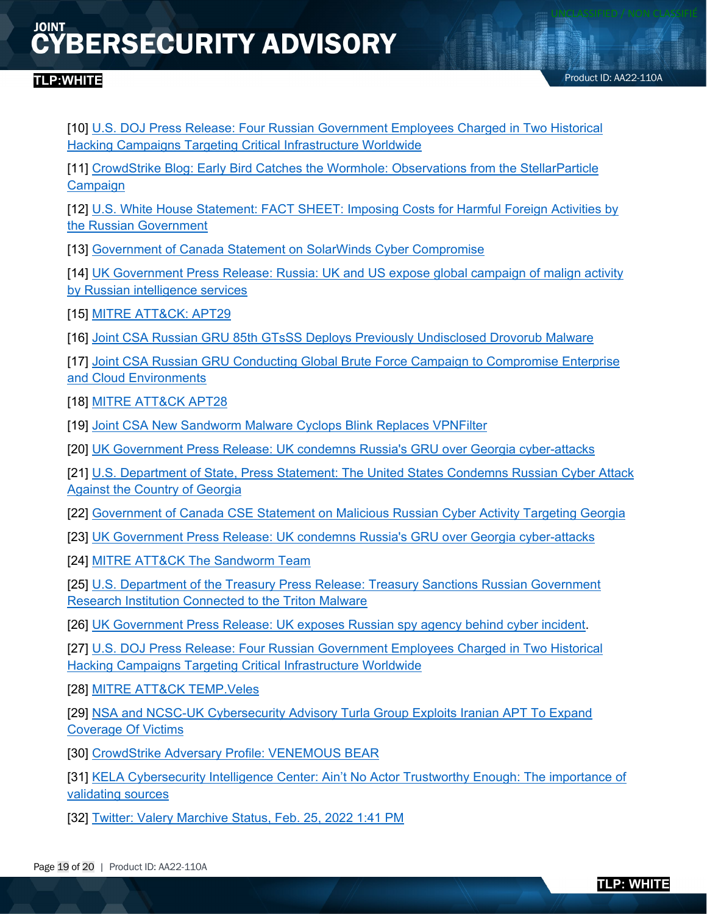[10] [U.S. DOJ Press Release: Four Russian Government Employees Charged in Two Historical](https://www.justice.gov/opa/pr/four-russian-government-employees-charged-two-historical-hacking-campaigns-targeting-critical)  [Hacking Campaigns Targeting Critical Infrastructure Worldwide](https://www.justice.gov/opa/pr/four-russian-government-employees-charged-two-historical-hacking-campaigns-targeting-critical)

[11] [CrowdStrike Blog: Early Bird Catches the Wormhole: Observations from the StellarParticle](https://www.crowdstrike.com/blog/observations-from-the-stellarparticle-campaign/)  [Campaign](https://www.crowdstrike.com/blog/observations-from-the-stellarparticle-campaign/)

[12] [U.S. White House Statement: FACT SHEET: Imposing Costs for Harmful Foreign Activities by](https://www.whitehouse.gov/briefing-room/statements-releases/2021/04/15/fact-sheet-imposing-costs-for-harmful-foreign-activities-by-the-russian-government/)  [the Russian Government](https://www.whitehouse.gov/briefing-room/statements-releases/2021/04/15/fact-sheet-imposing-costs-for-harmful-foreign-activities-by-the-russian-government/)

[13] [Government of Canada Statement on SolarWinds Cyber Compromise](https://www.canada.ca/en/global-affairs/news/2021/04/statement-on-solarwinds-cyber-compromise.html)

[14] [UK Government Press Release: Russia: UK and US expose global campaign of malign activity](https://www.gov.uk/government/news/russia-uk-and-us-expose-global-campaigns-of-malign-activity-by-russian-intelligence-services)  [by Russian intelligence services](https://www.gov.uk/government/news/russia-uk-and-us-expose-global-campaigns-of-malign-activity-by-russian-intelligence-services)

[15] [MITRE ATT&CK: APT29](https://attack.mitre.org/versions/v10/groups/G0016/)

[16] Joint CSA [Russian GRU 85th GTsSS Deploys Previously Undisclosed Drovorub Malware](https://media.defense.gov/2020/Aug/13/2002476465/-1/-1/0/CSA_DROVORUB_RUSSIAN_GRU_MALWARE_AUG_2020.PDF)

[17] Joint CSA Russian [GRU Conducting Global Brute Force Campaign to Compromise Enterprise](https://media.defense.gov/2021/Jul/01/2002753896/-1/-1/1/CSA_GRU_GLOBAL_BRUTE_FORCE_CAMPAIGN_UOO158036-21.PDF)  [and Cloud Environments](https://media.defense.gov/2021/Jul/01/2002753896/-1/-1/1/CSA_GRU_GLOBAL_BRUTE_FORCE_CAMPAIGN_UOO158036-21.PDF)

[18] [MITRE ATT&CK APT28](https://attack.mitre.org/versions/v10/groups/G0007/)

[19] [Joint CSA New Sandworm Malware Cyclops Blink Replaces VPNFilter](https://www.cisa.gov/uscert/ncas/alerts/aa22-054a)

[20] [UK Government Press Release: UK condemns Russia's GRU over Georgia cyber-attacks](https://www.gov.uk/government/news/uk-condemns-russias-gru-over-georgia-cyber-attacks)

[21] [U.S. Department of State, Press Statement: The United States Condemns Russian Cyber Attack](https://2017-2021.state.gov/the-united-states-condemns-russian-cyber-attack-against-the-country-of-georgia/index.html)  [Against the Country of Georgia](https://2017-2021.state.gov/the-united-states-condemns-russian-cyber-attack-against-the-country-of-georgia/index.html)

[22] [Government of Canada CSE Statement on Malicious Russian Cyber Activity Targeting Georgia](https://cse-cst.gc.ca/en/information-and-resources/announcements/cse-statement-malicious-russian-cyber-activity-targeting)

[23] [UK Government Press Release: UK condemns Russia's GRU over Georgia cyber-attacks](https://www.gov.uk/government/news/uk-condemns-russias-gru-over-georgia-cyber-attacks)

[24] [MITRE ATT&CK The Sandworm Team](https://attack.mitre.org/versions/v10/groups/G0034/)

[25] [U.S. Department of the Treasury Press Release: Treasury Sanctions Russian Government](https://home.treasury.gov/news/press-releases/sm1162)  [Research Institution Connected to the Triton Malware](https://home.treasury.gov/news/press-releases/sm1162)

[26] [UK Government Press Release: UK exposes Russian spy agency behind cyber incident.](https://www.gov.uk/government/news/uk-exposes-russian-spy-agency-behind-cyber-incidents)

[27] [U.S. DOJ Press Release: Four Russian Government Employees Charged in Two Historical](https://www.justice.gov/opa/pr/four-russian-government-employees-charged-two-historical-hacking-campaigns-targeting-critical)  [Hacking Campaigns Targeting Critical Infrastructure Worldwide](https://www.justice.gov/opa/pr/four-russian-government-employees-charged-two-historical-hacking-campaigns-targeting-critical)

[28] [MITRE ATT&CK TEMP.Veles](https://attack.mitre.org/groups/G0088/)

[29] [NSA and NCSC-UK Cybersecurity Advisory Turla Group Exploits Iranian APT To Expand](https://media.defense.gov/2019/Oct/18/2002197242/-1/-1/0/NSA_CSA_TURLA_20191021%20VER%203%20-%20COPY.PDF)  [Coverage Of Victims](https://media.defense.gov/2019/Oct/18/2002197242/-1/-1/0/NSA_CSA_TURLA_20191021%20VER%203%20-%20COPY.PDF)

[30] [CrowdStrike Adversary Profile: VENEMOUS BEAR](https://www.crowdstrike.com/blog/meet-crowdstrikes-adversary-of-the-month-for-march-venomous-bear/)

[31] KELA Cybersecurity Intelligence Center: Ain't [No Actor Trustworthy Enough: The importance of](https://ke-la.com/aint-no-actor-trustworthy-enough-the-importance-of-validating-sources/)  [validating sources](https://ke-la.com/aint-no-actor-trustworthy-enough-the-importance-of-validating-sources/)

[32] [Twitter: Valery Marchive Status, Feb. 25, 2022](https://twitter.com/ValeryMarchive/status/1497280612805324800/photo/1) 1:41 PM